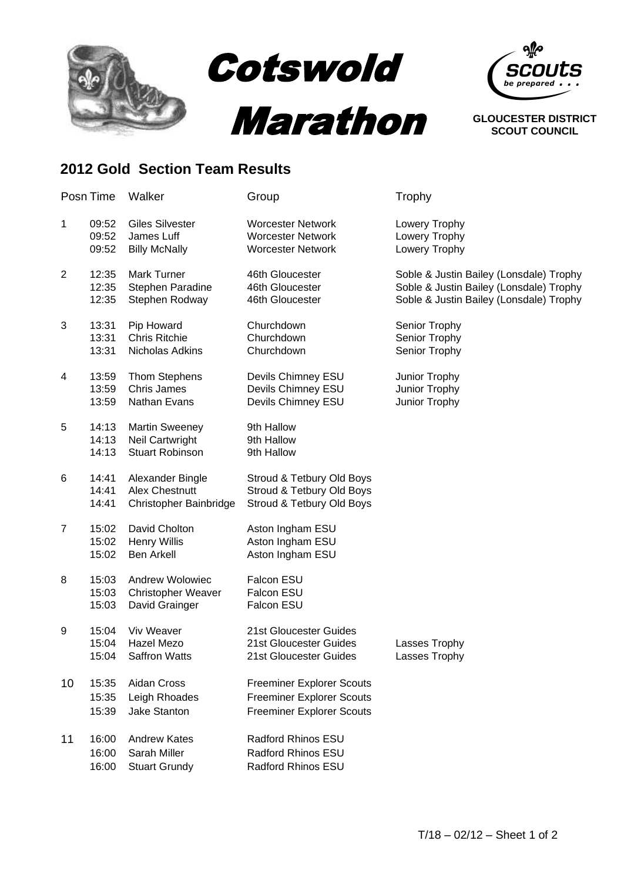

## **2012 Gold Section Team Results**

| Posn Time |                         | Walker                                                                | Group                                                                                                    | Trophy                                                                                                                        |  |
|-----------|-------------------------|-----------------------------------------------------------------------|----------------------------------------------------------------------------------------------------------|-------------------------------------------------------------------------------------------------------------------------------|--|
| 1         | 09:52<br>09:52<br>09:52 | <b>Giles Silvester</b><br>James Luff<br><b>Billy McNally</b>          | <b>Worcester Network</b><br><b>Worcester Network</b><br><b>Worcester Network</b>                         | Lowery Trophy<br>Lowery Trophy<br>Lowery Trophy                                                                               |  |
| 2         | 12:35<br>12:35<br>12:35 | Mark Turner<br>Stephen Paradine<br>Stephen Rodway                     | 46th Gloucester<br>46th Gloucester<br>46th Gloucester                                                    | Soble & Justin Bailey (Lonsdale) Trophy<br>Soble & Justin Bailey (Lonsdale) Trophy<br>Soble & Justin Bailey (Lonsdale) Trophy |  |
| 3         | 13:31<br>13:31<br>13:31 | Pip Howard<br><b>Chris Ritchie</b><br>Nicholas Adkins                 | Churchdown<br>Churchdown<br>Churchdown                                                                   | Senior Trophy<br>Senior Trophy<br>Senior Trophy                                                                               |  |
| 4         | 13:59<br>13:59<br>13:59 | <b>Thom Stephens</b><br><b>Chris James</b><br>Nathan Evans            | Devils Chimney ESU<br>Devils Chimney ESU<br>Devils Chimney ESU                                           | Junior Trophy<br>Junior Trophy<br>Junior Trophy                                                                               |  |
| 5         | 14:13<br>14:13<br>14:13 | <b>Martin Sweeney</b><br>Neil Cartwright<br><b>Stuart Robinson</b>    | 9th Hallow<br>9th Hallow<br>9th Hallow                                                                   |                                                                                                                               |  |
| 6         | 14:41<br>14:41<br>14:41 | Alexander Bingle<br><b>Alex Chestnutt</b><br>Christopher Bainbridge   | Stroud & Tetbury Old Boys<br>Stroud & Tetbury Old Boys<br>Stroud & Tetbury Old Boys                      |                                                                                                                               |  |
| 7         | 15:02<br>15:02<br>15:02 | David Cholton<br><b>Henry Willis</b><br><b>Ben Arkell</b>             | Aston Ingham ESU<br>Aston Ingham ESU<br>Aston Ingham ESU                                                 |                                                                                                                               |  |
| 8         | 15:03<br>15:03<br>15:03 | <b>Andrew Wolowiec</b><br><b>Christopher Weaver</b><br>David Grainger | Falcon ESU<br>Falcon ESU<br>Falcon ESU                                                                   |                                                                                                                               |  |
| 9         | 15:04<br>15:04<br>15:04 | Viv Weaver<br>Hazel Mezo<br><b>Saffron Watts</b>                      | 21st Gloucester Guides<br>21st Gloucester Guides<br>21st Gloucester Guides                               | Lasses Trophy<br>Lasses Trophy                                                                                                |  |
| 10        | 15:35<br>15:35<br>15:39 | Aidan Cross<br>Leigh Rhoades<br><b>Jake Stanton</b>                   | <b>Freeminer Explorer Scouts</b><br><b>Freeminer Explorer Scouts</b><br><b>Freeminer Explorer Scouts</b> |                                                                                                                               |  |
| 11        | 16:00<br>16:00<br>16:00 | <b>Andrew Kates</b><br>Sarah Miller<br><b>Stuart Grundy</b>           | Radford Rhinos ESU<br>Radford Rhinos ESU<br>Radford Rhinos ESU                                           |                                                                                                                               |  |